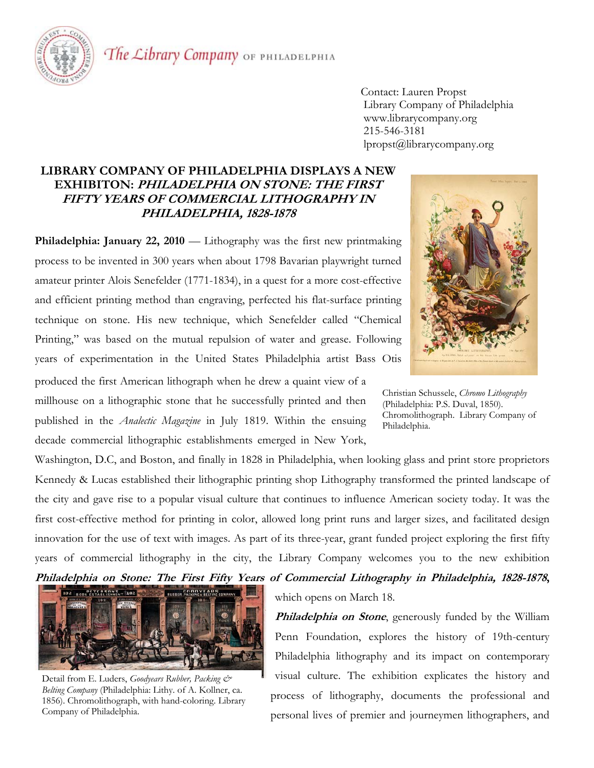

The Library Company OF PHILADELPHIA

 Contact: Lauren Propst Library Company of Philadelphia www.librarycompany.org 215-546-3181 lpropst@librarycompany.org

## **LIBRARY COMPANY OF PHILADELPHIA DISPLAYS A NEW EXHIBITON: PHILADELPHIA ON STONE: THE FIRST FIFTY YEARS OF COMMERCIAL LITHOGRAPHY IN PHILADELPHIA, 1828-1878**

**Philadelphia: January 22, 2010** — Lithography was the first new printmaking process to be invented in 300 years when about 1798 Bavarian playwright turned amateur printer Alois Senefelder (1771-1834), in a quest for a more cost-effective and efficient printing method than engraving, perfected his flat-surface printing technique on stone. His new technique, which Senefelder called "Chemical Printing," was based on the mutual repulsion of water and grease. Following years of experimentation in the United States Philadelphia artist Bass Otis

produced the first American lithograph when he drew a quaint view of a millhouse on a lithographic stone that he successfully printed and then published in the *Analectic Magazine* in July 1819. Within the ensuing decade commercial lithographic establishments emerged in New York,

Washington, D.C, and Boston, and finally in 1828 in Philadelphia, when looking glass and print store proprietors Kennedy & Lucas established their lithographic printing shop Lithography transformed the printed landscape of the city and gave rise to a popular visual culture that continues to influence American society today. It was the first cost-effective method for printing in color, allowed long print runs and larger sizes, and facilitated design innovation for the use of text with images. As part of its three-year, grant funded project exploring the first fifty years of commercial lithography in the city, the Library Company welcomes you to the new exhibition



Detail from E. Luders, *Goodyears Rubber, Packing & Belting Company* (Philadelphia: Lithy. of A. Kollner, ca. 1856). Chromolithograph, with hand-coloring. Library Company of Philadelphia.

which opens on March 18.

**Philadelphia on Stone**, generously funded by the William Penn Foundation, explores the history of 19th-century Philadelphia lithography and its impact on contemporary visual culture. The exhibition explicates the history and process of lithography, documents the professional and personal lives of premier and journeymen lithographers, and



Christian Schussele, *Chromo Lithography* (Philadelphia: P.S. Duval, 1850). Chromolithograph. Library Company of Philadelphia.